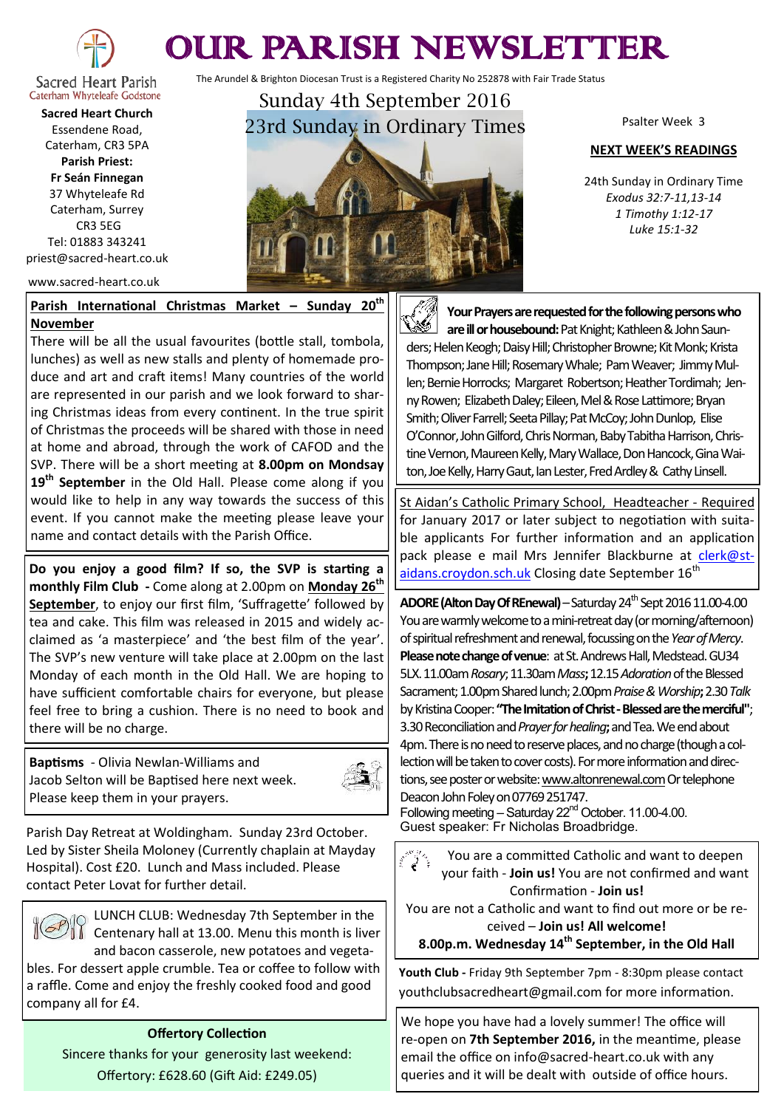

## OUR PARISH NEWSLETTER

The Arundel & Brighton Diocesan Trust is a Registered Charity No 252878 with Fair Trade Status

Sacred Heart Parish Caterham Whyteleafe Godstone **Sacred Heart Church** Essendene Road,

Caterham, CR3 5PA **Parish Priest: Fr Seán Finnegan** 37 Whyteleafe Rd Caterham, Surrey CR3 5EG Tel: 01883 343241 priest@sacred-heart.co.uk

www.sacred-heart.co.uk

## **Parish International Christmas Market – Sunday 20th November**

There will be all the usual favourites (bottle stall, tombola, lunches) as well as new stalls and plenty of homemade produce and art and craft items! Many countries of the world are represented in our parish and we look forward to sharing Christmas ideas from every continent. In the true spirit of Christmas the proceeds will be shared with those in need at home and abroad, through the work of CAFOD and the SVP. There will be a short meeting at **8.00pm on Mondsay 19th September** in the Old Hall. Please come along if you would like to help in any way towards the success of this event. If you cannot make the meeting please leave your name and contact details with the Parish Office.

**Do you enjoy a good film? If so, the SVP is starting a monthly Film Club -** Come along at 2.00pm on **Monday 26th September**, to enjoy our first film, 'Suffragette' followed by tea and cake. This film was released in 2015 and widely acclaimed as 'a masterpiece' and 'the best film of the year'. The SVP's new venture will take place at 2.00pm on the last Monday of each month in the Old Hall. We are hoping to have sufficient comfortable chairs for everyone, but please feel free to bring a cushion. There is no need to book and there will be no charge.

**Baptisms** - Olivia Newlan-Williams and Jacob Selton will be Baptised here next week. Please keep them in your prayers.



Parish Day Retreat at Woldingham. Sunday 23rd October. Led by Sister Sheila Moloney (Currently chaplain at Mayday Hospital). Cost £20. Lunch and Mass included. Please contact Peter Lovat for further detail.



LUNCH CLUB: Wednesday 7th September in the  $\prod$  Centenary hall at 13.00. Menu this month is liver and bacon casserole, new potatoes and vegeta-

bles. For dessert apple crumble. Tea or coffee to follow with a raffle. Come and enjoy the freshly cooked food and good company all for £4.

## **Offertory Collection**

Sincere thanks for your generosity last weekend: Offertory: £628.60 (Gift Aid: £249.05)



Psalter Week 3

## **NEXT WEEK'S READINGS**

24th Sunday in Ordinary Time *Exodus 32:7-11,13-14 1 Timothy 1:12-17 Luke 15:1-32*

**Your Prayers are requested for the following persons who are ill or housebound:** Pat Knight; Kathleen & John Saunders; Helen Keogh; Daisy Hill; Christopher Browne; Kit Monk; Krista Thompson; Jane Hill; Rosemary Whale; Pam Weaver; Jimmy Mullen; Bernie Horrocks; Margaret Robertson; Heather Tordimah; Jenny Rowen; Elizabeth Daley; Eileen, Mel & Rose Lattimore; Bryan Smith; Oliver Farrell; Seeta Pillay; Pat McCoy; John Dunlop, Elise O'Connor, John Gilford, Chris Norman, Baby Tabitha Harrison, Christine Vernon, Maureen Kelly, Mary Wallace, Don Hancock, Gina Waiton, Joe Kelly, Harry Gaut, Ian Lester, Fred Ardley & Cathy Linsell.

St Aidan's Catholic Primary School, Headteacher - Required for January 2017 or later subject to negotiation with suitable applicants For further information and an application pack please e mail Mrs Jennifer Blackburne at [clerk@st](mailto:clerk@st-aidans.croydon.sch.uk)[aidans.croydon.sch.uk](mailto:clerk@st-aidans.croydon.sch.uk) Closing date September 16<sup>th</sup>

**ADORE (Alton Day Of REnewal)** – Saturday 24<sup>th</sup> Sept 2016 11.00-4.00 You are warmly welcome to a mini-retreat day (or morning/afternoon) of spiritual refreshment and renewal, focussing on the *Year of Mercy*. **Please note change of venue**: at St. Andrews Hall, Medstead. GU34 5LX. 11.00am *Rosary*; 11.30am *Mass***;** 12.15 *Adoration*of the Blessed Sacrament; 1.00pm Shared lunch; 2.00pm *Praise & Worship***;** 2.30 *Talk* by Kristina Cooper:**"The Imitation of Christ -Blessed are the merciful"**; 3.30 Reconciliation and *Prayer for healing***;** and Tea. We end about 4pm. There is no need to reserve places, and no charge (though a collection will be taken to cover costs). For more information and directions, see poster or website: www.altonrenewal.com Or telephone Deacon John Foley on 07769 251747.

Following meeting – Saturday  $22<sup>nd</sup>$  October. 11.00-4.00. Guest speaker: Fr Nicholas Broadbridge.

You are a committed Catholic and want to deepen your faith - **Join us!** You are not confirmed and want Confirmation - **Join us!**

You are not a Catholic and want to find out more or be received – **Join us! All welcome!** 

**8.00p.m. Wednesday 14th September, in the Old Hall**

**Youth Club -** Friday 9th September 7pm - 8:30pm please contact youthclubsacredheart@gmail.com for more information.

We hope you have had a lovely summer! The office will re-open on **7th September 2016,** in the meantime, please email the office on info@sacred-heart.co.uk with any queries and it will be dealt with outside of office hours.